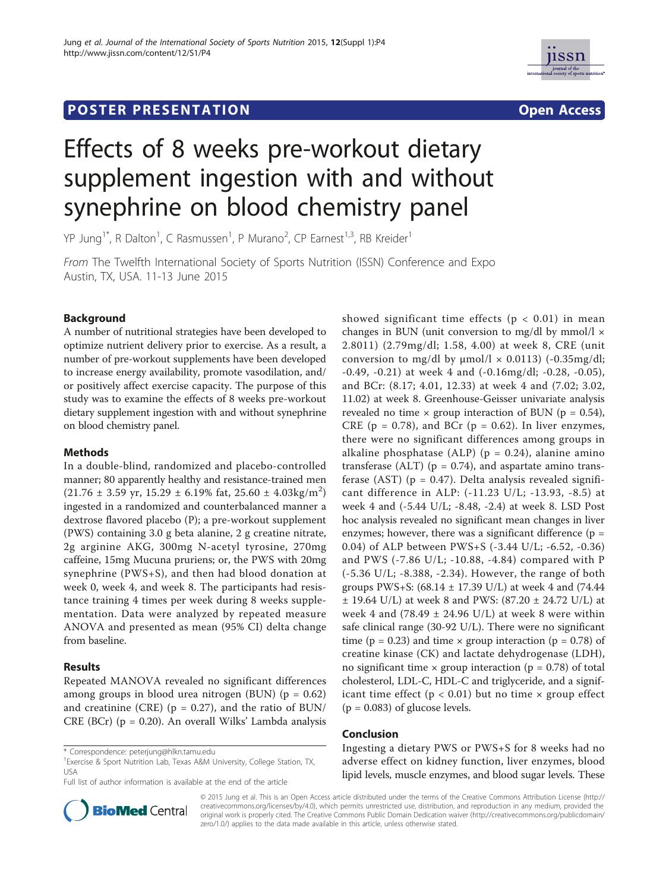# **POSTER PRESENTATION CONSUMING THE SERVICE SERVICE SERVICE SERVICES**



# Effects of 8 weeks pre-workout dietary supplement ingestion with and without synephrine on blood chemistry panel

YP Jung<sup>1\*</sup>, R Dalton<sup>1</sup>, C Rasmussen<sup>1</sup>, P Murano<sup>2</sup>, CP Earnest<sup>1,3</sup>, RB Kreider<sup>1</sup>

From The Twelfth International Society of Sports Nutrition (ISSN) Conference and Expo Austin, TX, USA. 11-13 June 2015

# Background

A number of nutritional strategies have been developed to optimize nutrient delivery prior to exercise. As a result, a number of pre-workout supplements have been developed to increase energy availability, promote vasodilation, and/ or positively affect exercise capacity. The purpose of this study was to examine the effects of 8 weeks pre-workout dietary supplement ingestion with and without synephrine on blood chemistry panel.

# **Methods**

In a double-blind, randomized and placebo-controlled manner; 80 apparently healthy and resistance-trained men  $(21.76 \pm 3.59 \text{ yr}, 15.29 \pm 6.19\% \text{ fat}, 25.60 \pm 4.03 \text{kg/m}^2)$ ingested in a randomized and counterbalanced manner a dextrose flavored placebo (P); a pre-workout supplement (PWS) containing 3.0 g beta alanine, 2 g creatine nitrate, 2g arginine AKG, 300mg N-acetyl tyrosine, 270mg caffeine, 15mg Mucuna pruriens; or, the PWS with 20mg synephrine (PWS+S), and then had blood donation at week 0, week 4, and week 8. The participants had resistance training 4 times per week during 8 weeks supplementation. Data were analyzed by repeated measure ANOVA and presented as mean (95% CI) delta change from baseline.

# Results

Repeated MANOVA revealed no significant differences among groups in blood urea nitrogen (BUN)  $(p = 0.62)$ and creatinine (CRE) ( $p = 0.27$ ), and the ratio of BUN/ CRE (BCr) ( $p = 0.20$ ). An overall Wilks' Lambda analysis

<sup>1</sup> Exercise & Sport Nutrition Lab, Texas A&M University, College Station, TX, USA

Full list of author information is available at the end of the article



#### Conclusion

Ingesting a dietary PWS or PWS+S for 8 weeks had no adverse effect on kidney function, liver enzymes, blood lipid levels, muscle enzymes, and blood sugar levels. These



© 2015 Jung et al. This is an Open Access article distributed under the terms of the Creative Commons Attribution License (http:// creativecommons.org/licenses/by/4.0), which permits unrestricted use, distribution, and reproduction in any medium, provided the original work is properly cited. The Creative Commons Public Domain Dedication waiver (http://creativecommons.org/publicdomain/ zero/1.0/) applies to the data made available in this article, unless otherwise stated.

<sup>\*</sup> Correspondence: peterjung@hlkn.tamu.edu